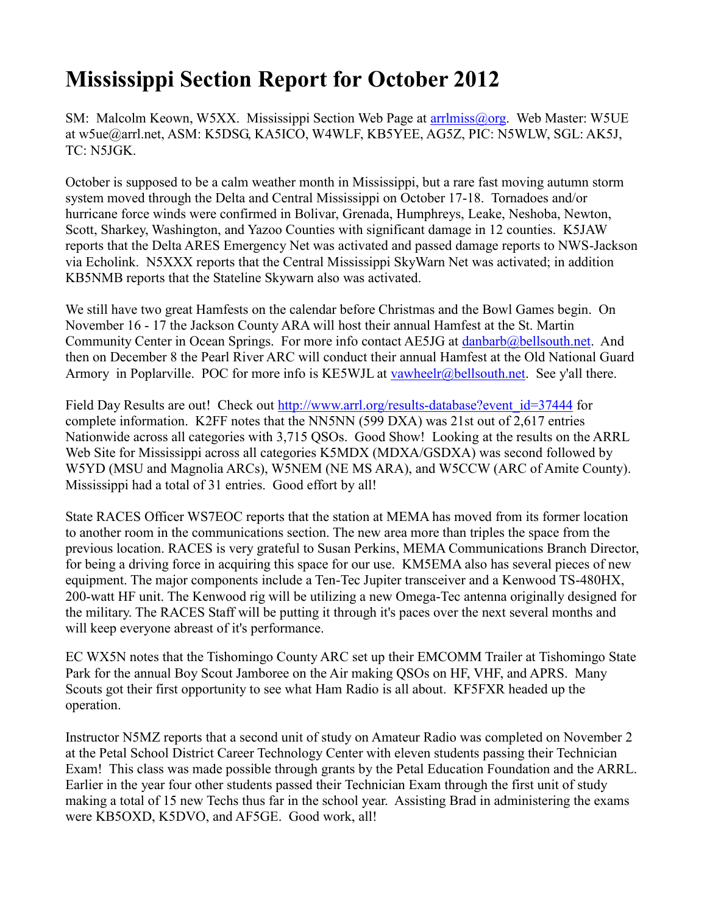## **Mississippi Section Report for October 2012**

SM: Malcolm Keown, W5XX. Mississippi Section Web Page at arrilmiss@org. Web Master: W5UE at w5ue@arrl.net, ASM: K5DSG, KA5ICO, W4WLF, KB5YEE, AG5Z, PIC: N5WLW, SGL: AK5J, TC: N5JGK.

October is supposed to be a calm weather month in Mississippi, but a rare fast moving autumn storm system moved through the Delta and Central Mississippi on October 17-18. Tornadoes and/or hurricane force winds were confirmed in Bolivar, Grenada, Humphreys, Leake, Neshoba, Newton, Scott, Sharkey, Washington, and Yazoo Counties with significant damage in 12 counties. K5JAW reports that the Delta ARES Emergency Net was activated and passed damage reports to NWS-Jackson via Echolink. N5XXX reports that the Central Mississippi SkyWarn Net was activated; in addition KB5NMB reports that the Stateline Skywarn also was activated.

We still have two great Hamfests on the calendar before Christmas and the Bowl Games begin. On November 16 - 17 the Jackson County ARA will host their annual Hamfest at the St. Martin Community Center in Ocean Springs. For more info contact AE5JG at [danbarb@bellsouth.net.](mailto:danbarb@bellsouth.net) And then on December 8 the Pearl River ARC will conduct their annual Hamfest at the Old National Guard Armory in Poplarville. POC for more info is KE5WJL at [vawheelr@bellsouth.net.](mailto:vawheelr@bellsouth.net) See y'all there.

Field Day Results are out! Check out http://www.arrl.org/results-database?event id=37444 for complete information. K2FF notes that the NN5NN (599 DXA) was 21st out of 2,617 entries Nationwide across all categories with 3,715 QSOs. Good Show! Looking at the results on the ARRL Web Site for Mississippi across all categories K5MDX (MDXA/GSDXA) was second followed by W5YD (MSU and Magnolia ARCs), W5NEM (NE MS ARA), and W5CCW (ARC of Amite County). Mississippi had a total of 31 entries. Good effort by all!

State RACES Officer WS7EOC reports that the station at MEMA has moved from its former location to another room in the communications section. The new area more than triples the space from the previous location. RACES is very grateful to Susan Perkins, MEMA Communications Branch Director, for being a driving force in acquiring this space for our use. KM5EMA also has several pieces of new equipment. The major components include a Ten-Tec Jupiter transceiver and a Kenwood TS-480HX, 200-watt HF unit. The Kenwood rig will be utilizing a new Omega-Tec antenna originally designed for the military. The RACES Staff will be putting it through it's paces over the next several months and will keep everyone abreast of it's performance.

EC WX5N notes that the Tishomingo County ARC set up their EMCOMM Trailer at Tishomingo State Park for the annual Boy Scout Jamboree on the Air making QSOs on HF, VHF, and APRS. Many Scouts got their first opportunity to see what Ham Radio is all about. KF5FXR headed up the operation.

Instructor N5MZ reports that a second unit of study on Amateur Radio was completed on November 2 at the Petal School District Career Technology Center with eleven students passing their Technician Exam! This class was made possible through grants by the Petal Education Foundation and the ARRL. Earlier in the year four other students passed their Technician Exam through the first unit of study making a total of 15 new Techs thus far in the school year. Assisting Brad in administering the exams were KB5OXD, K5DVO, and AF5GE. Good work, all!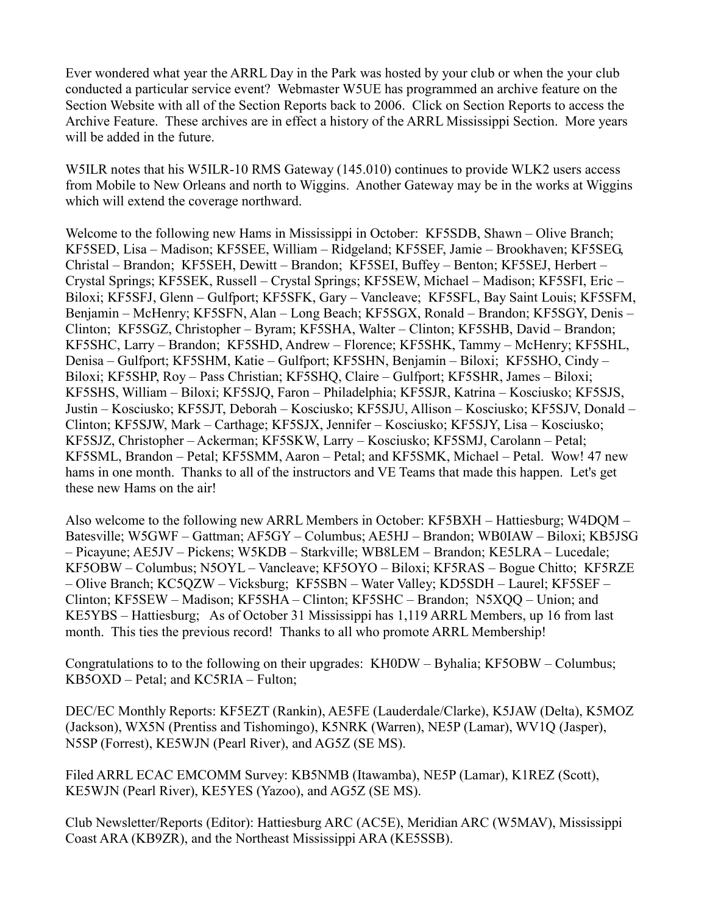Ever wondered what year the ARRL Day in the Park was hosted by your club or when the your club conducted a particular service event? Webmaster W5UE has programmed an archive feature on the Section Website with all of the Section Reports back to 2006. Click on Section Reports to access the Archive Feature. These archives are in effect a history of the ARRL Mississippi Section. More years will be added in the future.

W5ILR notes that his W5ILR-10 RMS Gateway (145.010) continues to provide WLK2 users access from Mobile to New Orleans and north to Wiggins. Another Gateway may be in the works at Wiggins which will extend the coverage northward.

Welcome to the following new Hams in Mississippi in October: KF5SDB, Shawn – Olive Branch; KF5SED, Lisa – Madison; KF5SEE, William – Ridgeland; KF5SEF, Jamie – Brookhaven; KF5SEG, Christal – Brandon; KF5SEH, Dewitt – Brandon; KF5SEI, Buffey – Benton; KF5SEJ, Herbert – Crystal Springs; KF5SEK, Russell – Crystal Springs; KF5SEW, Michael – Madison; KF5SFI, Eric – Biloxi; KF5SFJ, Glenn – Gulfport; KF5SFK, Gary – Vancleave; KF5SFL, Bay Saint Louis; KF5SFM, Benjamin – McHenry; KF5SFN, Alan – Long Beach; KF5SGX, Ronald – Brandon; KF5SGY, Denis – Clinton; KF5SGZ, Christopher – Byram; KF5SHA, Walter – Clinton; KF5SHB, David – Brandon; KF5SHC, Larry – Brandon; KF5SHD, Andrew – Florence; KF5SHK, Tammy – McHenry; KF5SHL, Denisa – Gulfport; KF5SHM, Katie – Gulfport; KF5SHN, Benjamin – Biloxi; KF5SHO, Cindy – Biloxi; KF5SHP, Roy – Pass Christian; KF5SHQ, Claire – Gulfport; KF5SHR, James – Biloxi; KF5SHS, William – Biloxi; KF5SJQ, Faron – Philadelphia; KF5SJR, Katrina – Kosciusko; KF5SJS, Justin – Kosciusko; KF5SJT, Deborah – Kosciusko; KF5SJU, Allison – Kosciusko; KF5SJV, Donald – Clinton; KF5SJW, Mark – Carthage; KF5SJX, Jennifer – Kosciusko; KF5SJY, Lisa – Kosciusko; KF5SJZ, Christopher – Ackerman; KF5SKW, Larry – Kosciusko; KF5SMJ, Carolann – Petal; KF5SML, Brandon – Petal; KF5SMM, Aaron – Petal; and KF5SMK, Michael – Petal. Wow! 47 new hams in one month. Thanks to all of the instructors and VE Teams that made this happen. Let's get these new Hams on the air!

Also welcome to the following new ARRL Members in October: KF5BXH – Hattiesburg; W4DQM – Batesville; W5GWF – Gattman; AF5GY – Columbus; AE5HJ – Brandon; WB0IAW – Biloxi; KB5JSG – Picayune; AE5JV – Pickens; W5KDB – Starkville; WB8LEM – Brandon; KE5LRA – Lucedale; KF5OBW – Columbus; N5OYL – Vancleave; KF5OYO – Biloxi; KF5RAS – Bogue Chitto; KF5RZE – Olive Branch; KC5QZW – Vicksburg; KF5SBN – Water Valley; KD5SDH – Laurel; KF5SEF – Clinton; KF5SEW – Madison; KF5SHA – Clinton; KF5SHC – Brandon; N5XQQ – Union; and KE5YBS – Hattiesburg; As of October 31 Mississippi has 1,119 ARRL Members, up 16 from last month. This ties the previous record! Thanks to all who promote ARRL Membership!

Congratulations to to the following on their upgrades: KH0DW – Byhalia; KF5OBW – Columbus; KB5OXD – Petal; and KC5RIA – Fulton;

DEC/EC Monthly Reports: KF5EZT (Rankin), AE5FE (Lauderdale/Clarke), K5JAW (Delta), K5MOZ (Jackson), WX5N (Prentiss and Tishomingo), K5NRK (Warren), NE5P (Lamar), WV1Q (Jasper), N5SP (Forrest), KE5WJN (Pearl River), and AG5Z (SE MS).

Filed ARRL ECAC EMCOMM Survey: KB5NMB (Itawamba), NE5P (Lamar), K1REZ (Scott), KE5WJN (Pearl River), KE5YES (Yazoo), and AG5Z (SE MS).

Club Newsletter/Reports (Editor): Hattiesburg ARC (AC5E), Meridian ARC (W5MAV), Mississippi Coast ARA (KB9ZR), and the Northeast Mississippi ARA (KE5SSB).